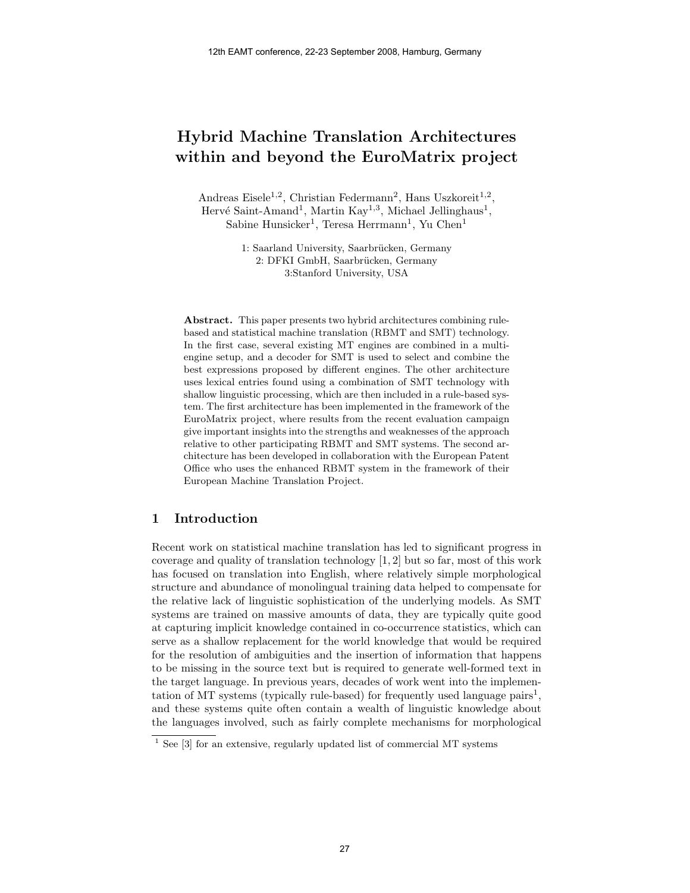# Hybrid Machine Translation Architectures within and beyond the EuroMatrix project

Andreas Eisele<sup>1,2</sup>, Christian Federmann<sup>2</sup>, Hans Uszkoreit<sup>1,2</sup>, Hervé Saint-Amand<sup>1</sup>, Martin Kay<sup>1,3</sup>, Michael Jellinghaus<sup>1</sup>, Sabine Hunsicker<sup>1</sup>, Teresa Herrmann<sup>1</sup>, Yu Chen<sup>1</sup>

> 1: Saarland University, Saarbrücken, Germany 2: DFKI GmbH, Saarbrücken, Germany 3:Stanford University, USA

Abstract. This paper presents two hybrid architectures combining rulebased and statistical machine translation (RBMT and SMT) technology. In the first case, several existing MT engines are combined in a multiengine setup, and a decoder for SMT is used to select and combine the best expressions proposed by different engines. The other architecture uses lexical entries found using a combination of SMT technology with shallow linguistic processing, which are then included in a rule-based system. The first architecture has been implemented in the framework of the EuroMatrix project, where results from the recent evaluation campaign give important insights into the strengths and weaknesses of the approach relative to other participating RBMT and SMT systems. The second architecture has been developed in collaboration with the European Patent Office who uses the enhanced RBMT system in the framework of their European Machine Translation Project.

# 1 Introduction

Recent work on statistical machine translation has led to significant progress in coverage and quality of translation technology [1, 2] but so far, most of this work has focused on translation into English, where relatively simple morphological structure and abundance of monolingual training data helped to compensate for the relative lack of linguistic sophistication of the underlying models. As SMT systems are trained on massive amounts of data, they are typically quite good at capturing implicit knowledge contained in co-occurrence statistics, which can serve as a shallow replacement for the world knowledge that would be required for the resolution of ambiguities and the insertion of information that happens to be missing in the source text but is required to generate well-formed text in the target language. In previous years, decades of work went into the implementation of MT systems (typically rule-based) for frequently used language pairs<sup>1</sup>, and these systems quite often contain a wealth of linguistic knowledge about the languages involved, such as fairly complete mechanisms for morphological

 $1$  See [3] for an extensive, regularly updated list of commercial MT systems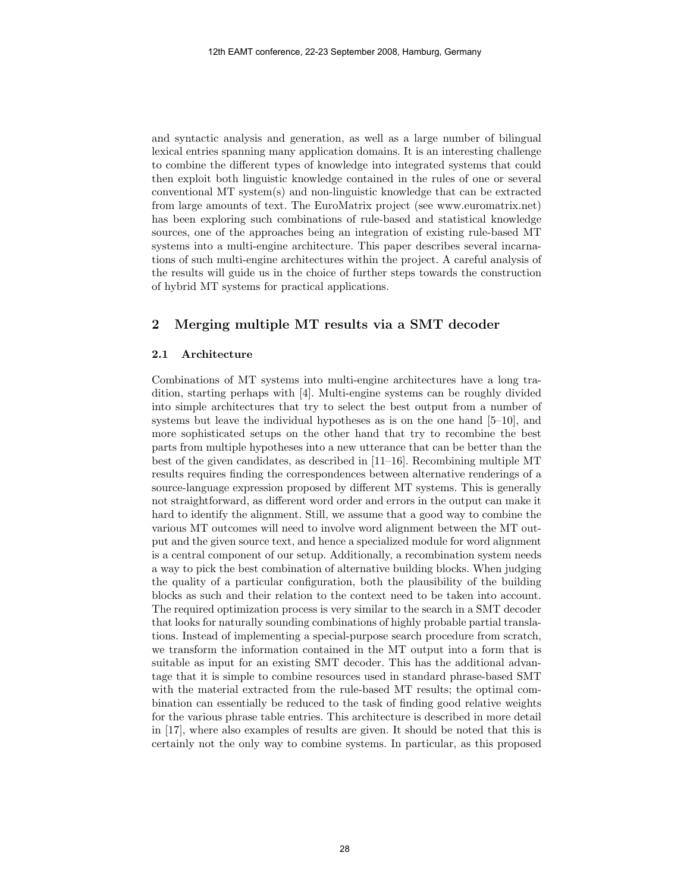and syntactic analysis and generation, as well as a large number of bilingual lexical entries spanning many application domains. It is an interesting challenge to combine the different types of knowledge into integrated systems that could then exploit both linguistic knowledge contained in the rules of one or several conventional MT system(s) and non-linguistic knowledge that can be extracted from large amounts of text. The EuroMatrix project (see www.euromatrix.net) has been exploring such combinations of rule-based and statistical knowledge sources, one of the approaches being an integration of existing rule-based MT systems into a multi-engine architecture. This paper describes several incarnations of such multi-engine architectures within the project. A careful analysis of the results will guide us in the choice of further steps towards the construction of hybrid MT systems for practical applications.

# 2 Merging multiple MT results via a SMT decoder

#### 2.1 Architecture

Combinations of MT systems into multi-engine architectures have a long tradition, starting perhaps with [4]. Multi-engine systems can be roughly divided into simple architectures that try to select the best output from a number of systems but leave the individual hypotheses as is on the one hand [5–10], and more sophisticated setups on the other hand that try to recombine the best parts from multiple hypotheses into a new utterance that can be better than the best of the given candidates, as described in [11–16]. Recombining multiple MT results requires finding the correspondences between alternative renderings of a source-language expression proposed by different MT systems. This is generally not straightforward, as different word order and errors in the output can make it hard to identify the alignment. Still, we assume that a good way to combine the various MT outcomes will need to involve word alignment between the MT output and the given source text, and hence a specialized module for word alignment is a central component of our setup. Additionally, a recombination system needs a way to pick the best combination of alternative building blocks. When judging the quality of a particular configuration, both the plausibility of the building blocks as such and their relation to the context need to be taken into account. The required optimization process is very similar to the search in a SMT decoder that looks for naturally sounding combinations of highly probable partial translations. Instead of implementing a special-purpose search procedure from scratch, we transform the information contained in the MT output into a form that is suitable as input for an existing SMT decoder. This has the additional advantage that it is simple to combine resources used in standard phrase-based SMT with the material extracted from the rule-based MT results; the optimal combination can essentially be reduced to the task of finding good relative weights for the various phrase table entries. This architecture is described in more detail in [17], where also examples of results are given. It should be noted that this is certainly not the only way to combine systems. In particular, as this proposed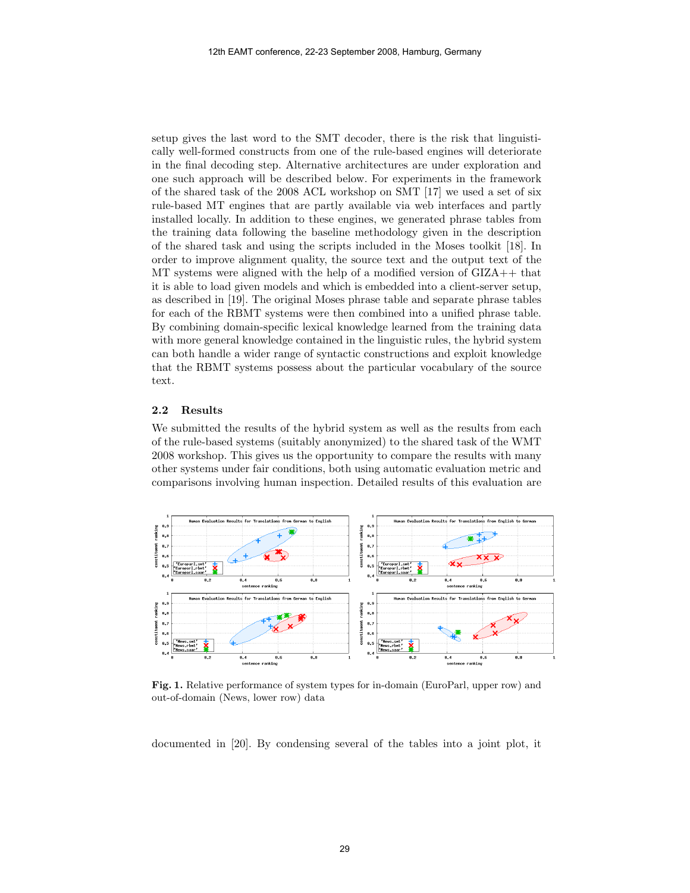setup gives the last word to the SMT decoder, there is the risk that linguistically well-formed constructs from one of the rule-based engines will deteriorate in the final decoding step. Alternative architectures are under exploration and one such approach will be described below. For experiments in the framework of the shared task of the 2008 ACL workshop on SMT [17] we used a set of six rule-based MT engines that are partly available via web interfaces and partly installed locally. In addition to these engines, we generated phrase tables from the training data following the baseline methodology given in the description of the shared task and using the scripts included in the Moses toolkit [18]. In order to improve alignment quality, the source text and the output text of the MT systems were aligned with the help of a modified version of GIZA++ that it is able to load given models and which is embedded into a client-server setup, as described in [19]. The original Moses phrase table and separate phrase tables for each of the RBMT systems were then combined into a unified phrase table. By combining domain-specific lexical knowledge learned from the training data with more general knowledge contained in the linguistic rules, the hybrid system can both handle a wider range of syntactic constructions and exploit knowledge that the RBMT systems possess about the particular vocabulary of the source text.

## 2.2 Results

We submitted the results of the hybrid system as well as the results from each of the rule-based systems (suitably anonymized) to the shared task of the WMT 2008 workshop. This gives us the opportunity to compare the results with many other systems under fair conditions, both using automatic evaluation metric and comparisons involving human inspection. Detailed results of this evaluation are



Fig. 1. Relative performance of system types for in-domain (EuroParl, upper row) and out-of-domain (News, lower row) data

documented in [20]. By condensing several of the tables into a joint plot, it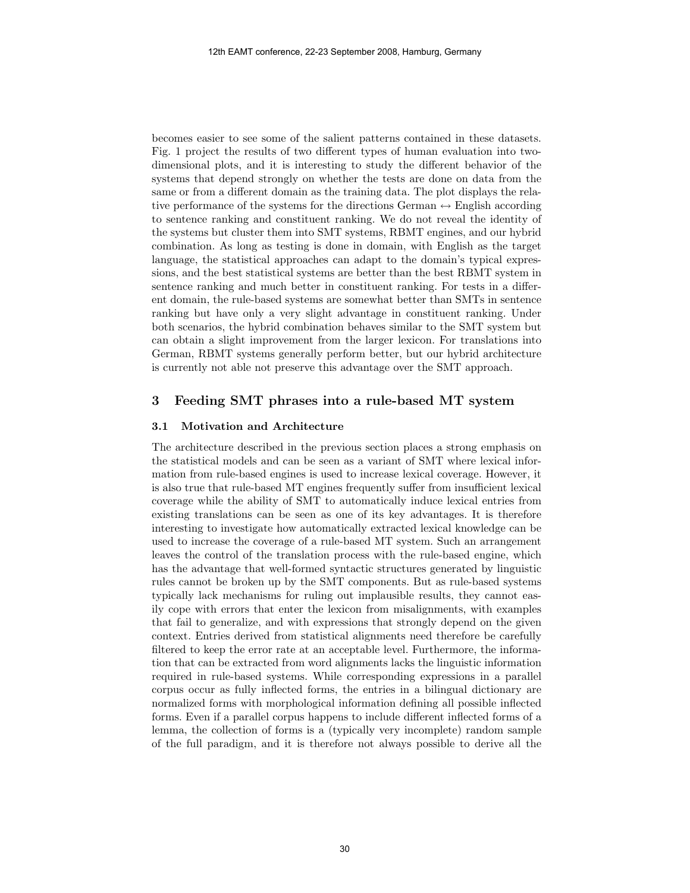becomes easier to see some of the salient patterns contained in these datasets. Fig. 1 project the results of two different types of human evaluation into twodimensional plots, and it is interesting to study the different behavior of the systems that depend strongly on whether the tests are done on data from the same or from a different domain as the training data. The plot displays the relative performance of the systems for the directions German  $\leftrightarrow$  English according to sentence ranking and constituent ranking. We do not reveal the identity of the systems but cluster them into SMT systems, RBMT engines, and our hybrid combination. As long as testing is done in domain, with English as the target language, the statistical approaches can adapt to the domain's typical expressions, and the best statistical systems are better than the best RBMT system in sentence ranking and much better in constituent ranking. For tests in a different domain, the rule-based systems are somewhat better than SMTs in sentence ranking but have only a very slight advantage in constituent ranking. Under both scenarios, the hybrid combination behaves similar to the SMT system but can obtain a slight improvement from the larger lexicon. For translations into German, RBMT systems generally perform better, but our hybrid architecture is currently not able not preserve this advantage over the SMT approach.

## 3 Feeding SMT phrases into a rule-based MT system

#### 3.1 Motivation and Architecture

The architecture described in the previous section places a strong emphasis on the statistical models and can be seen as a variant of SMT where lexical information from rule-based engines is used to increase lexical coverage. However, it is also true that rule-based MT engines frequently suffer from insufficient lexical coverage while the ability of SMT to automatically induce lexical entries from existing translations can be seen as one of its key advantages. It is therefore interesting to investigate how automatically extracted lexical knowledge can be used to increase the coverage of a rule-based MT system. Such an arrangement leaves the control of the translation process with the rule-based engine, which has the advantage that well-formed syntactic structures generated by linguistic rules cannot be broken up by the SMT components. But as rule-based systems typically lack mechanisms for ruling out implausible results, they cannot easily cope with errors that enter the lexicon from misalignments, with examples that fail to generalize, and with expressions that strongly depend on the given context. Entries derived from statistical alignments need therefore be carefully filtered to keep the error rate at an acceptable level. Furthermore, the information that can be extracted from word alignments lacks the linguistic information required in rule-based systems. While corresponding expressions in a parallel corpus occur as fully inflected forms, the entries in a bilingual dictionary are normalized forms with morphological information defining all possible inflected forms. Even if a parallel corpus happens to include different inflected forms of a lemma, the collection of forms is a (typically very incomplete) random sample of the full paradigm, and it is therefore not always possible to derive all the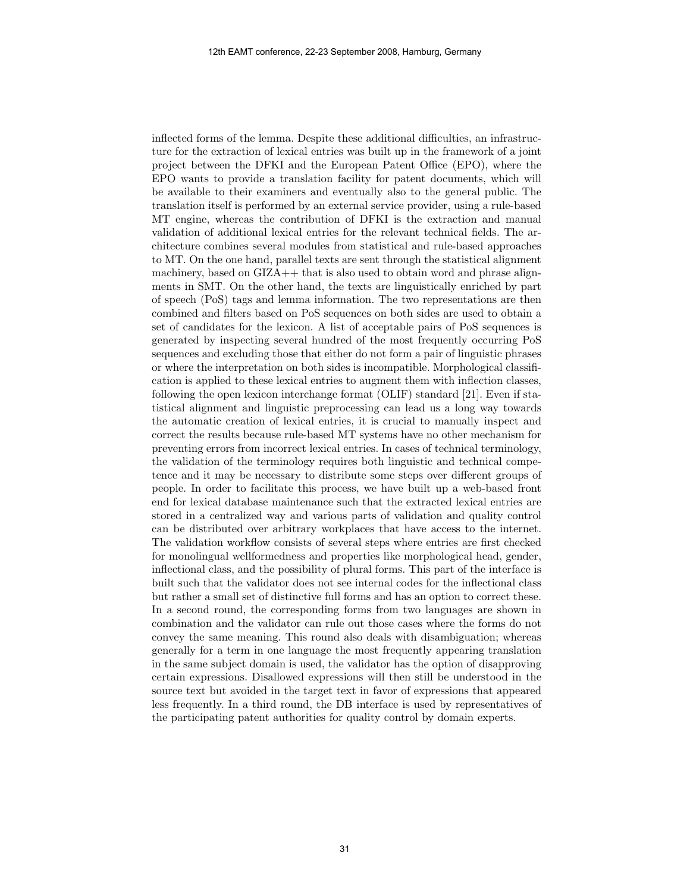inflected forms of the lemma. Despite these additional difficulties, an infrastructure for the extraction of lexical entries was built up in the framework of a joint project between the DFKI and the European Patent Office (EPO), where the EPO wants to provide a translation facility for patent documents, which will be available to their examiners and eventually also to the general public. The translation itself is performed by an external service provider, using a rule-based MT engine, whereas the contribution of DFKI is the extraction and manual validation of additional lexical entries for the relevant technical fields. The architecture combines several modules from statistical and rule-based approaches to MT. On the one hand, parallel texts are sent through the statistical alignment machinery, based on GIZA++ that is also used to obtain word and phrase alignments in SMT. On the other hand, the texts are linguistically enriched by part of speech (PoS) tags and lemma information. The two representations are then combined and filters based on PoS sequences on both sides are used to obtain a set of candidates for the lexicon. A list of acceptable pairs of PoS sequences is generated by inspecting several hundred of the most frequently occurring PoS sequences and excluding those that either do not form a pair of linguistic phrases or where the interpretation on both sides is incompatible. Morphological classification is applied to these lexical entries to augment them with inflection classes, following the open lexicon interchange format (OLIF) standard [21]. Even if statistical alignment and linguistic preprocessing can lead us a long way towards the automatic creation of lexical entries, it is crucial to manually inspect and correct the results because rule-based MT systems have no other mechanism for preventing errors from incorrect lexical entries. In cases of technical terminology, the validation of the terminology requires both linguistic and technical competence and it may be necessary to distribute some steps over different groups of people. In order to facilitate this process, we have built up a web-based front end for lexical database maintenance such that the extracted lexical entries are stored in a centralized way and various parts of validation and quality control can be distributed over arbitrary workplaces that have access to the internet. The validation workflow consists of several steps where entries are first checked for monolingual wellformedness and properties like morphological head, gender, inflectional class, and the possibility of plural forms. This part of the interface is built such that the validator does not see internal codes for the inflectional class but rather a small set of distinctive full forms and has an option to correct these. In a second round, the corresponding forms from two languages are shown in combination and the validator can rule out those cases where the forms do not convey the same meaning. This round also deals with disambiguation; whereas generally for a term in one language the most frequently appearing translation in the same subject domain is used, the validator has the option of disapproving certain expressions. Disallowed expressions will then still be understood in the source text but avoided in the target text in favor of expressions that appeared less frequently. In a third round, the DB interface is used by representatives of the participating patent authorities for quality control by domain experts.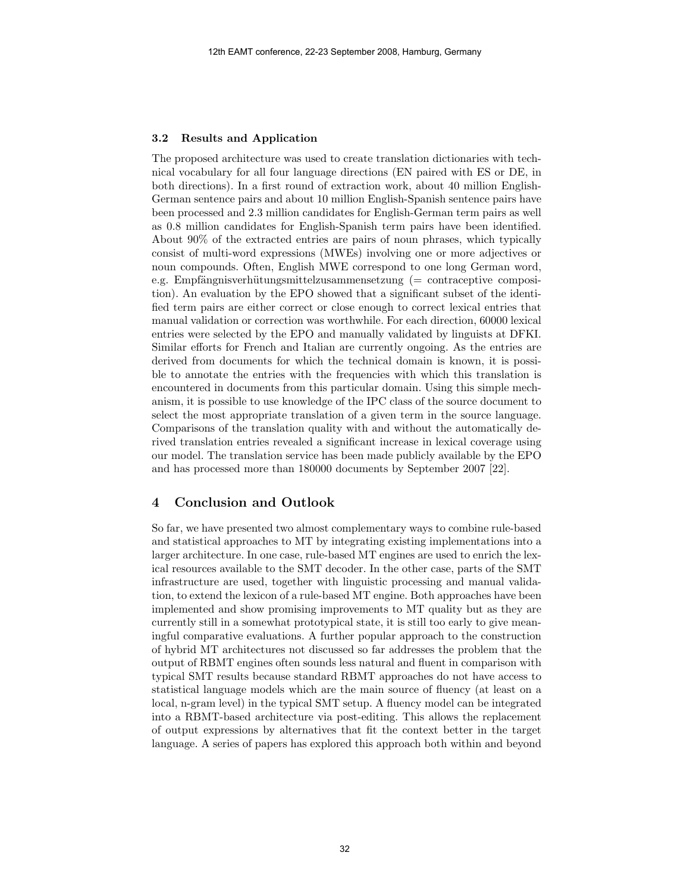#### 3.2 Results and Application

The proposed architecture was used to create translation dictionaries with technical vocabulary for all four language directions (EN paired with ES or DE, in both directions). In a first round of extraction work, about 40 million English-German sentence pairs and about 10 million English-Spanish sentence pairs have been processed and 2.3 million candidates for English-German term pairs as well as 0.8 million candidates for English-Spanish term pairs have been identified. About 90% of the extracted entries are pairs of noun phrases, which typically consist of multi-word expressions (MWEs) involving one or more adjectives or noun compounds. Often, English MWE correspond to one long German word, e.g. Empfängnisverhütungsmittelzusammensetzung ( $=$  contraceptive composition). An evaluation by the EPO showed that a significant subset of the identified term pairs are either correct or close enough to correct lexical entries that manual validation or correction was worthwhile. For each direction, 60000 lexical entries were selected by the EPO and manually validated by linguists at DFKI. Similar efforts for French and Italian are currently ongoing. As the entries are derived from documents for which the technical domain is known, it is possible to annotate the entries with the frequencies with which this translation is encountered in documents from this particular domain. Using this simple mechanism, it is possible to use knowledge of the IPC class of the source document to select the most appropriate translation of a given term in the source language. Comparisons of the translation quality with and without the automatically derived translation entries revealed a significant increase in lexical coverage using our model. The translation service has been made publicly available by the EPO and has processed more than 180000 documents by September 2007 [22].

## 4 Conclusion and Outlook

So far, we have presented two almost complementary ways to combine rule-based and statistical approaches to MT by integrating existing implementations into a larger architecture. In one case, rule-based MT engines are used to enrich the lexical resources available to the SMT decoder. In the other case, parts of the SMT infrastructure are used, together with linguistic processing and manual validation, to extend the lexicon of a rule-based MT engine. Both approaches have been implemented and show promising improvements to MT quality but as they are currently still in a somewhat prototypical state, it is still too early to give meaningful comparative evaluations. A further popular approach to the construction of hybrid MT architectures not discussed so far addresses the problem that the output of RBMT engines often sounds less natural and fluent in comparison with typical SMT results because standard RBMT approaches do not have access to statistical language models which are the main source of fluency (at least on a local, n-gram level) in the typical SMT setup. A fluency model can be integrated into a RBMT-based architecture via post-editing. This allows the replacement of output expressions by alternatives that fit the context better in the target language. A series of papers has explored this approach both within and beyond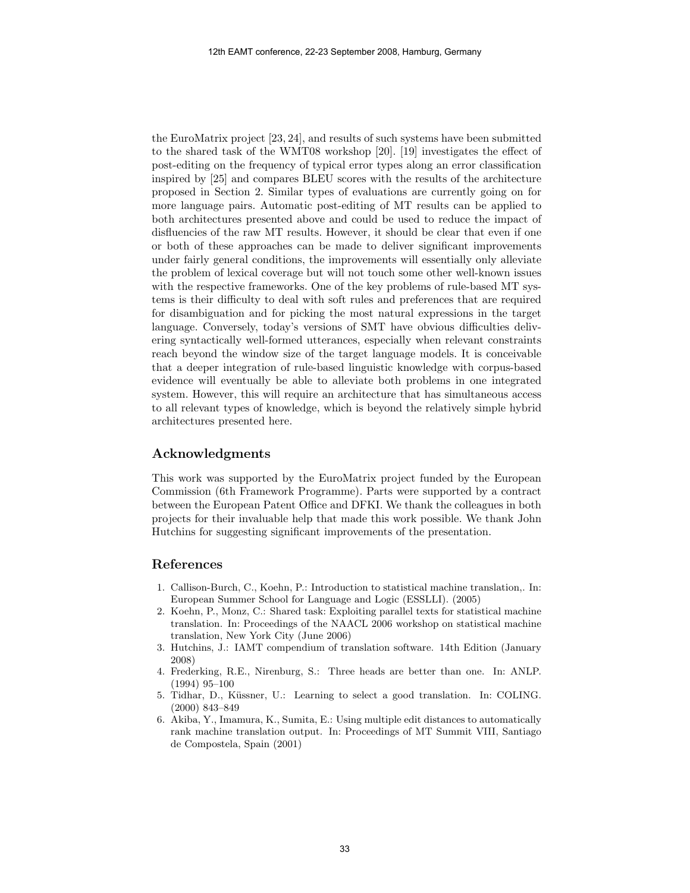the EuroMatrix project [23, 24], and results of such systems have been submitted to the shared task of the WMT08 workshop [20]. [19] investigates the effect of post-editing on the frequency of typical error types along an error classification inspired by [25] and compares BLEU scores with the results of the architecture proposed in Section 2. Similar types of evaluations are currently going on for more language pairs. Automatic post-editing of MT results can be applied to both architectures presented above and could be used to reduce the impact of disfluencies of the raw MT results. However, it should be clear that even if one or both of these approaches can be made to deliver significant improvements under fairly general conditions, the improvements will essentially only alleviate the problem of lexical coverage but will not touch some other well-known issues with the respective frameworks. One of the key problems of rule-based MT systems is their difficulty to deal with soft rules and preferences that are required for disambiguation and for picking the most natural expressions in the target language. Conversely, today's versions of SMT have obvious difficulties delivering syntactically well-formed utterances, especially when relevant constraints reach beyond the window size of the target language models. It is conceivable that a deeper integration of rule-based linguistic knowledge with corpus-based evidence will eventually be able to alleviate both problems in one integrated system. However, this will require an architecture that has simultaneous access to all relevant types of knowledge, which is beyond the relatively simple hybrid architectures presented here.

# Acknowledgments

This work was supported by the EuroMatrix project funded by the European Commission (6th Framework Programme). Parts were supported by a contract between the European Patent Office and DFKI. We thank the colleagues in both projects for their invaluable help that made this work possible. We thank John Hutchins for suggesting significant improvements of the presentation.

## References

- 1. Callison-Burch, C., Koehn, P.: Introduction to statistical machine translation,. In: European Summer School for Language and Logic (ESSLLI). (2005)
- 2. Koehn, P., Monz, C.: Shared task: Exploiting parallel texts for statistical machine translation. In: Proceedings of the NAACL 2006 workshop on statistical machine translation, New York City (June 2006)
- 3. Hutchins, J.: IAMT compendium of translation software. 14th Edition (January 2008)
- 4. Frederking, R.E., Nirenburg, S.: Three heads are better than one. In: ANLP. (1994) 95–100
- 5. Tidhar, D., Küssner, U.: Learning to select a good translation. In: COLING. (2000) 843–849
- 6. Akiba, Y., Imamura, K., Sumita, E.: Using multiple edit distances to automatically rank machine translation output. In: Proceedings of MT Summit VIII, Santiago de Compostela, Spain (2001)